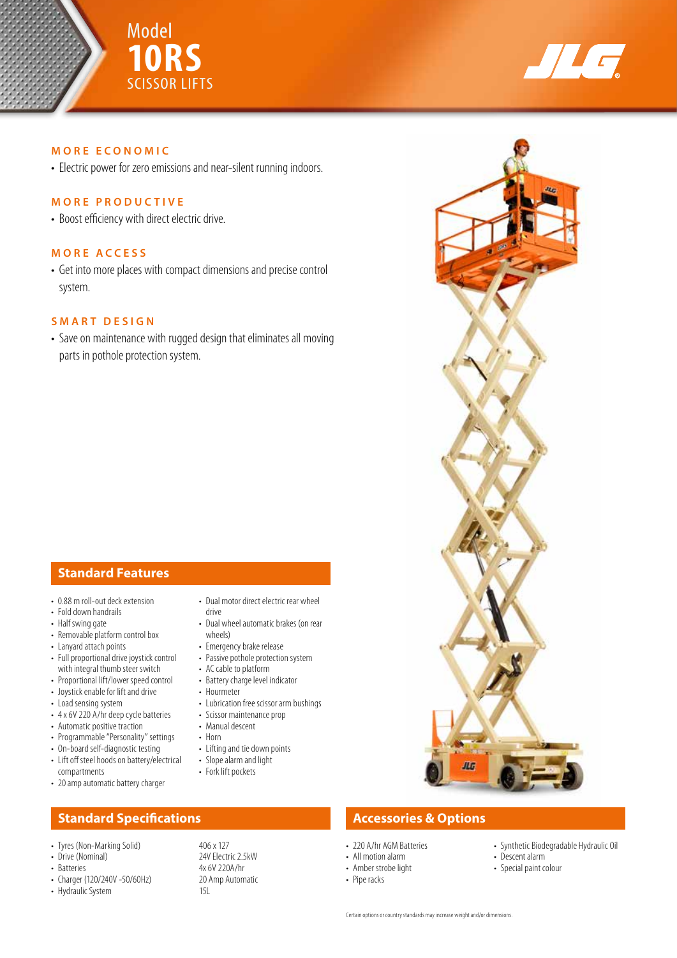



## **MORE ECONOMIC**

• Electric power for zero emissions and near-silent running indoors.

## **MORE PRODUCTIVE**

• Boost efficiency with direct electric drive.

## **MORE ACCESS**

• Get into more places with compact dimensions and precise control system.

## **SMART DESIGN**

• Save on maintenance with rugged design that eliminates all moving parts in pothole protection system.

# **Standard Features**

- 0.88 m roll-out deck extension
- Fold down handrails
- Half swing gate
- Removable platform control box
- Lanyard attach points
- Full proportional drive joystick control with integral thumb steer switch
- Proportional lift/lower speed control
- Joystick enable for lift and drive
- Load sensing system
- 4 x 6V 220 A/hr deep cycle batteries
- Automatic positive traction
- Programmable "Personality" settings
- On-board self-diagnostic testing
- Lift off steel hoods on battery/electrical compartments
- 20 amp automatic battery charger

# **Standard Specifications Accessories & Options**

- 
- Drive (Nominal)<br>• Batteries
- 
- Charger (120/240V -50/60Hz) 20 20 • Hydraulic System

• Battery charge level indicator • Hourmeter

• Emergency brake release

• Lubrication free scissor arm bushings

• Dual motor direct electric rear wheel

• Dual wheel automatic brakes (on rear

- Scissor maintenance prop
- Manual descent

drive

wheels)

- 
- 
- 
- 

• Tyres (Non-Marking Solid) 406 x 127<br>• Drive (Nominal) 24V Flectric 2 5kW 4x 6V 220A/hr<br>20 Amp Automatic



- 220 A/hr AGM Batteries
- All motion alarm
- Amber strobe light
- Pipe racks
- Synthetic Biodegradable Hydraulic Oil
- Descent alarm • Special paint colour
- 
- Passive pothole protection system • AC cable to platform
- 
- 
- Horn
- Lifting and tie down points
- Slope alarm and light
- Fork lift pockets